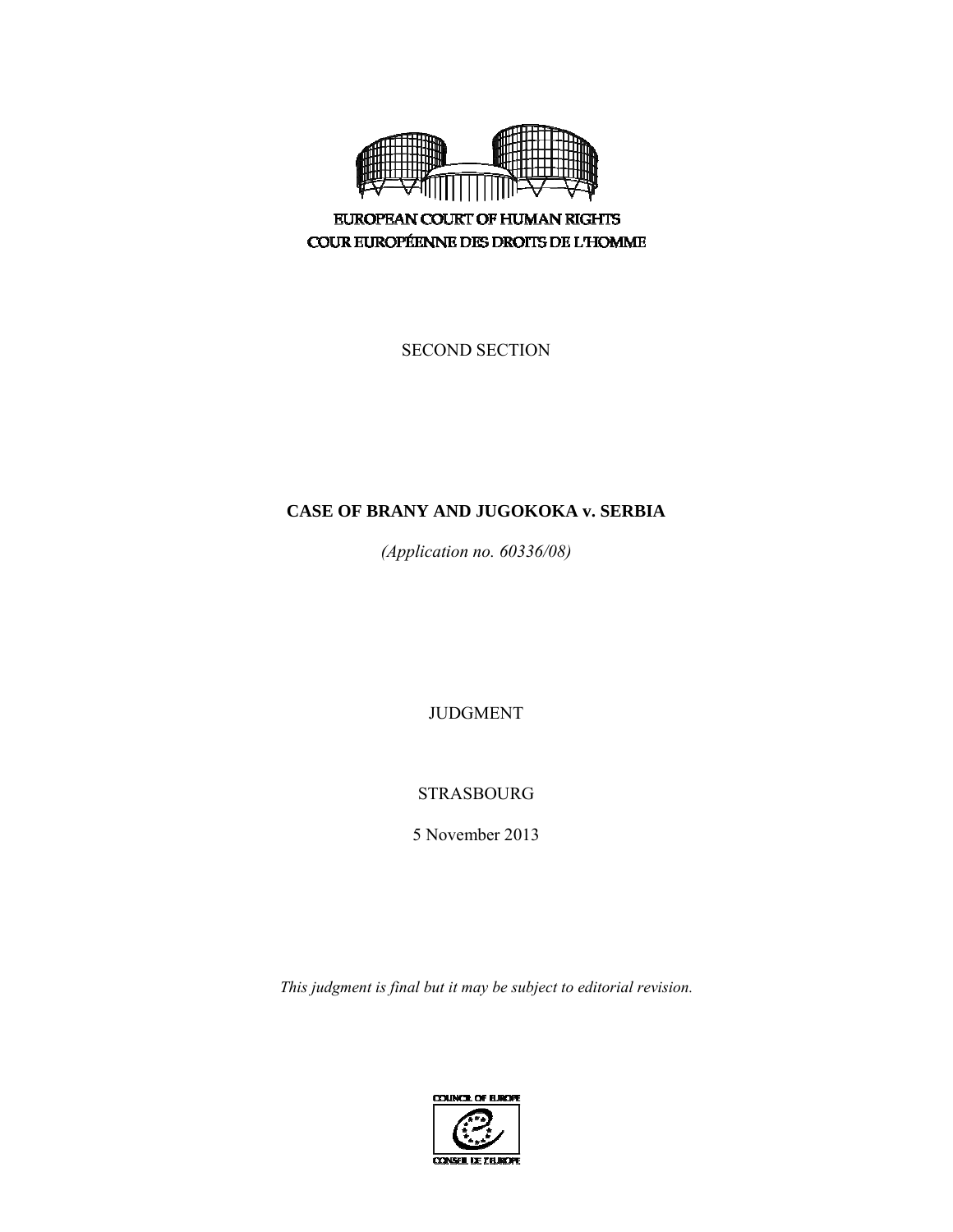

**EUROPEAN COURT OF HUMAN RIGHTS** COUR EUROPÉENNE DES DROITS DE L'HOMME

SECOND SECTION

# **CASE OF BRANY AND JUGOKOKA v. SERBIA**

*(Application no. 60336/08)* 

JUDGMENT

STRASBOURG

5 November 2013

*This judgment is final but it may be subject to editorial revision.* 

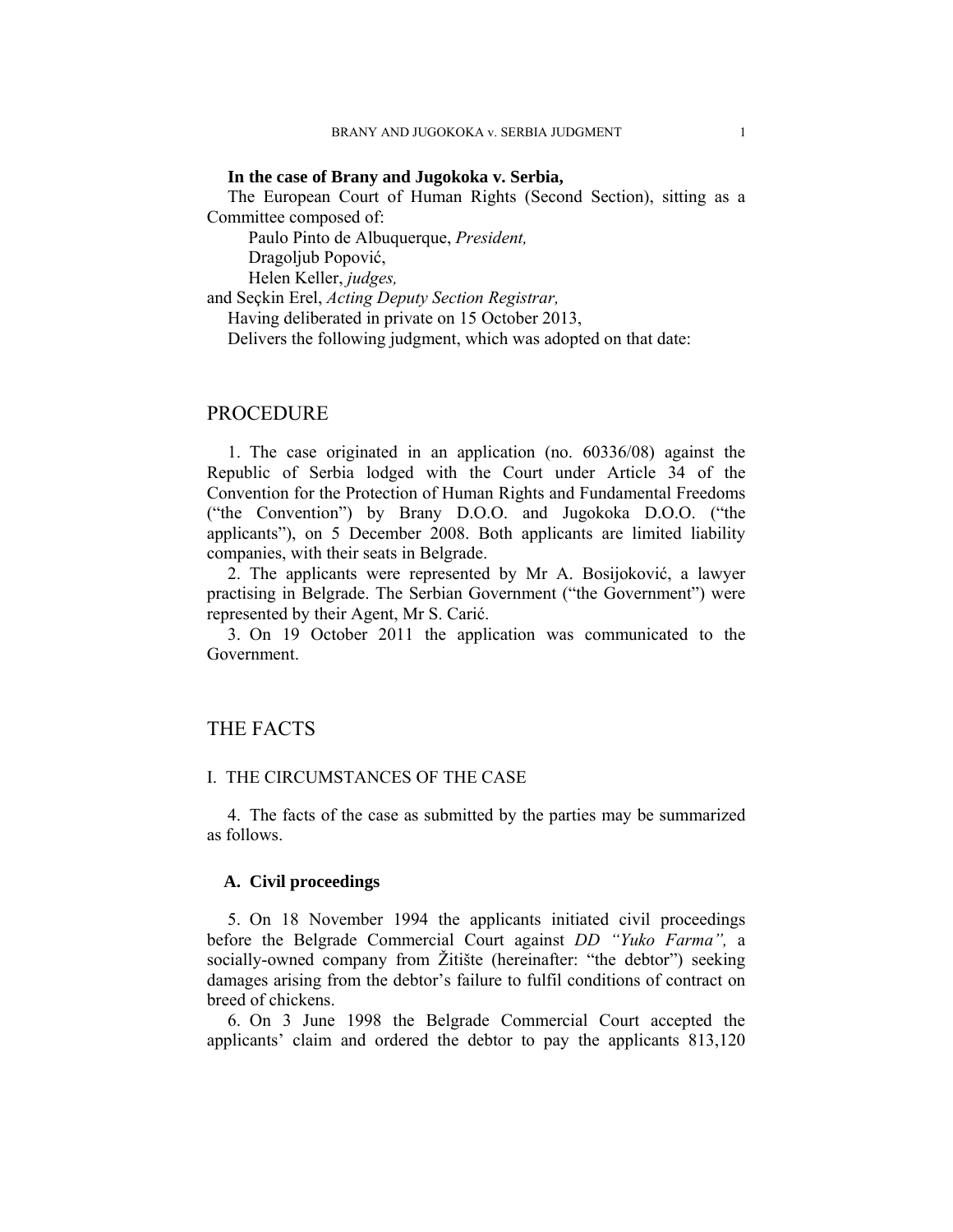## **In the case of Brany and Jugokoka v. Serbia,**

The European Court of Human Rights (Second Section), sitting as a Committee composed of:

Paulo Pinto de Albuquerque, *President,* 

Dragoljub Popović,

Helen Keller, *judges,*

and Seçkin Erel, *Acting Deputy Section Registrar,* 

Having deliberated in private on 15 October 2013,

Delivers the following judgment, which was adopted on that date:

## PROCEDURE

1. The case originated in an application (no. 60336/08) against the Republic of Serbia lodged with the Court under Article 34 of the Convention for the Protection of Human Rights and Fundamental Freedoms ("the Convention") by Brany D.O.O. and Jugokoka D.O.O. ("the applicants"), on 5 December 2008. Both applicants are limited liability companies, with their seats in Belgrade.

2. The applicants were represented by Mr A. Bosijoković, a lawyer practising in Belgrade. The Serbian Government ("the Government") were represented by their Agent, Mr S. Carić.

3. On 19 October 2011 the application was communicated to the Government.

# THE FACTS

## I. THE CIRCUMSTANCES OF THE CASE

4. The facts of the case as submitted by the parties may be summarized as follows.

## **A. Civil proceedings**

5. On 18 November 1994 the applicants initiated civil proceedings before the Belgrade Commercial Court against *DD "Yuko Farma",* a socially-owned company from Žitište (hereinafter: "the debtor") seeking damages arising from the debtor's failure to fulfil conditions of contract on breed of chickens.

6. On 3 June 1998 the Belgrade Commercial Court accepted the applicants' claim and ordered the debtor to pay the applicants 813,120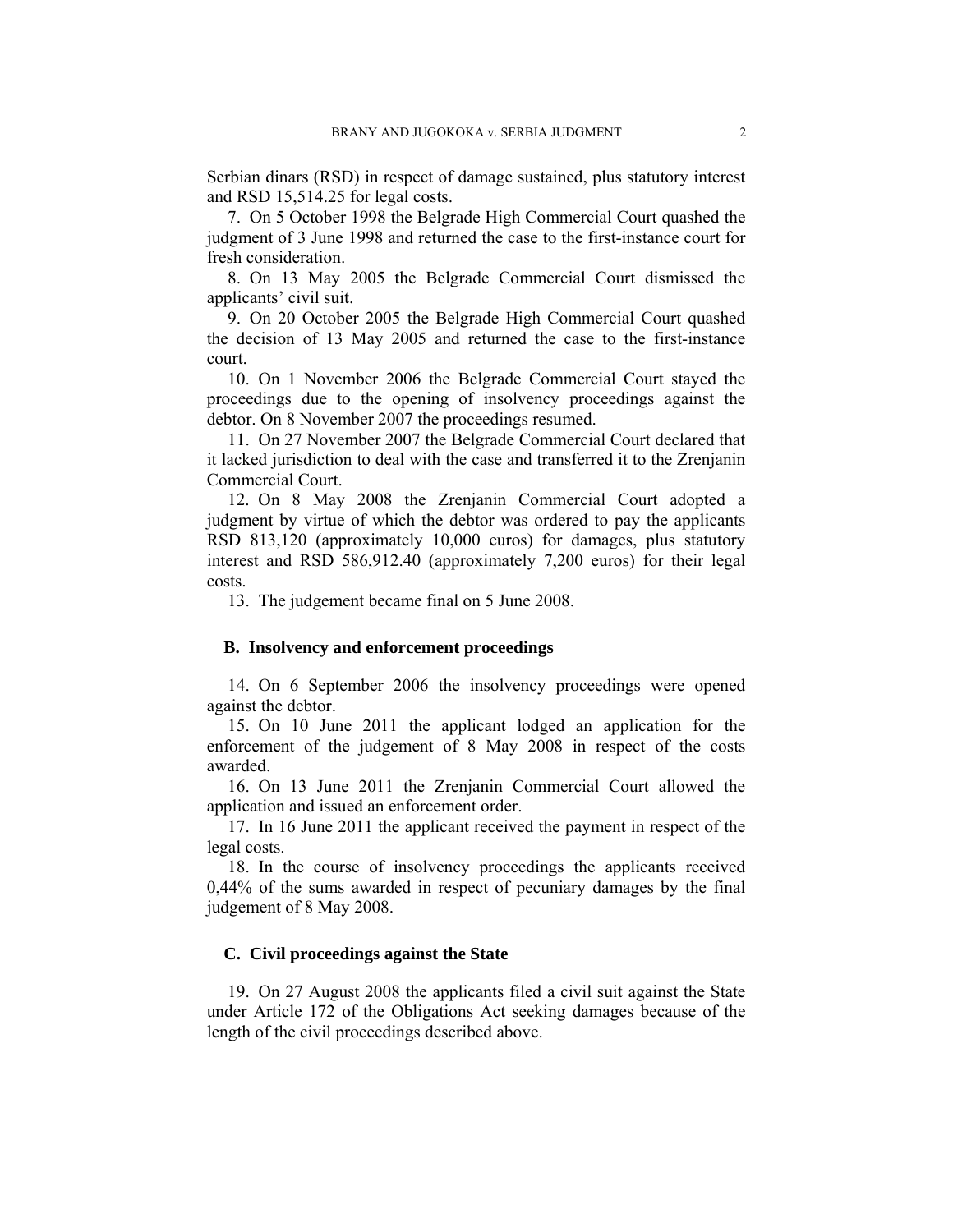Serbian dinars (RSD) in respect of damage sustained, plus statutory interest and RSD 15,514.25 for legal costs.

7. On 5 October 1998 the Belgrade High Commercial Court quashed the judgment of 3 June 1998 and returned the case to the first-instance court for fresh consideration.

8. On 13 May 2005 the Belgrade Commercial Court dismissed the applicants' civil suit.

9. On 20 October 2005 the Belgrade High Commercial Court quashed the decision of 13 May 2005 and returned the case to the first-instance court.

10. On 1 November 2006 the Belgrade Commercial Court stayed the proceedings due to the opening of insolvency proceedings against the debtor. On 8 November 2007 the proceedings resumed.

11. On 27 November 2007 the Belgrade Commercial Court declared that it lacked jurisdiction to deal with the case and transferred it to the Zrenjanin Commercial Court.

12. On 8 May 2008 the Zrenjanin Commercial Court adopted a judgment by virtue of which the debtor was ordered to pay the applicants RSD 813,120 (approximately 10,000 euros) for damages, plus statutory interest and RSD 586,912.40 (approximately 7,200 euros) for their legal costs.

13. The judgement became final on 5 June 2008.

## **B. Insolvency and enforcement proceedings**

14. On 6 September 2006 the insolvency proceedings were opened against the debtor.

15. On 10 June 2011 the applicant lodged an application for the enforcement of the judgement of 8 May 2008 in respect of the costs awarded.

16. On 13 June 2011 the Zrenjanin Commercial Court allowed the application and issued an enforcement order.

17. In 16 June 2011 the applicant received the payment in respect of the legal costs.

18. In the course of insolvency proceedings the applicants received 0,44% of the sums awarded in respect of pecuniary damages by the final judgement of 8 May 2008.

## **C. Civil proceedings against the State**

19. On 27 August 2008 the applicants filed a civil suit against the State under Article 172 of the Obligations Act seeking damages because of the length of the civil proceedings described above.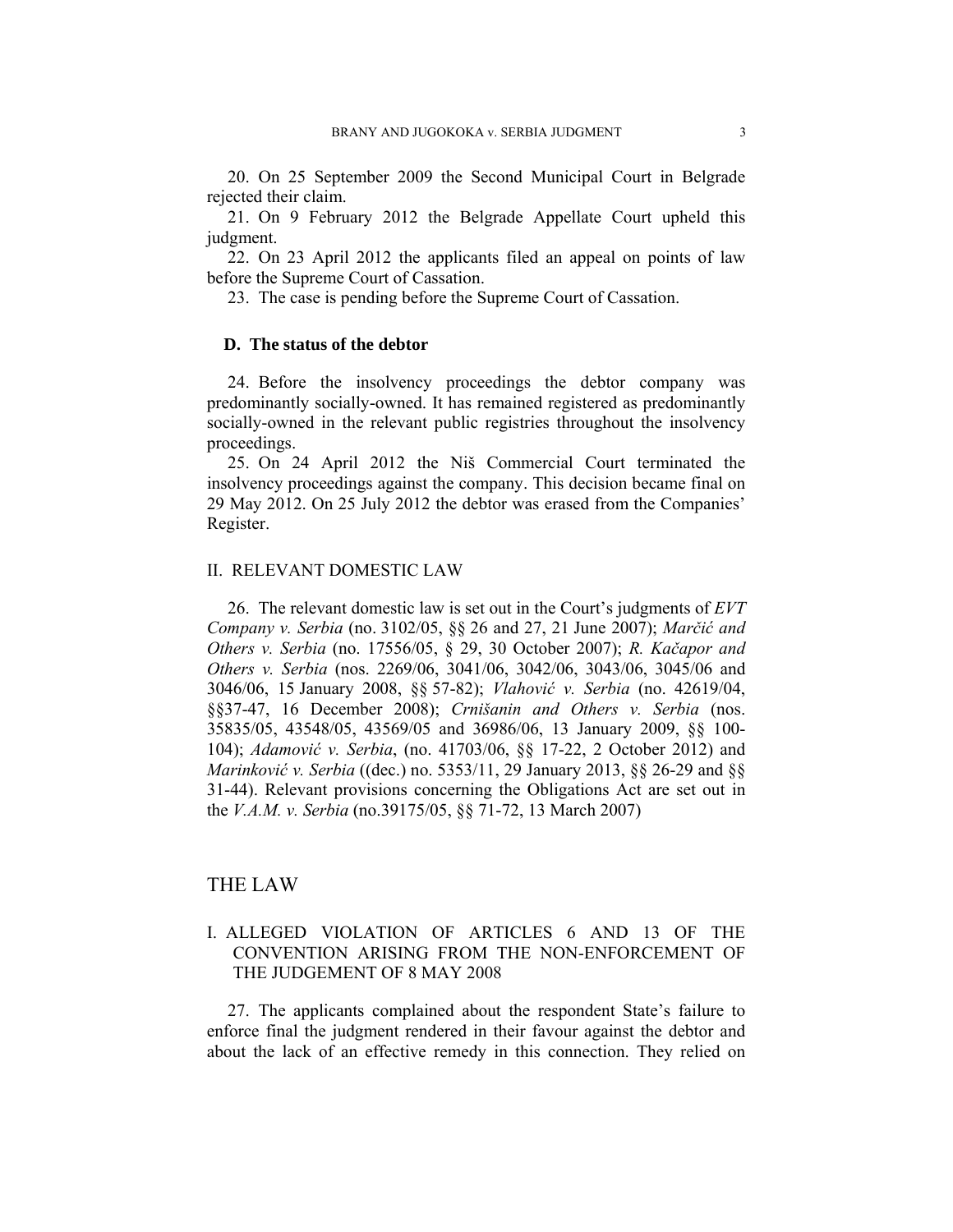20. On 25 September 2009 the Second Municipal Court in Belgrade rejected their claim.

21. On 9 February 2012 the Belgrade Appellate Court upheld this judgment.

22. On 23 April 2012 the applicants filed an appeal on points of law before the Supreme Court of Cassation.

23. The case is pending before the Supreme Court of Cassation.

## **D. The status of the debtor**

24. Before the insolvency proceedings the debtor company was predominantly socially-owned. It has remained registered as predominantly socially-owned in the relevant public registries throughout the insolvency proceedings.

25. On 24 April 2012 the Niš Commercial Court terminated the insolvency proceedings against the company. This decision became final on 29 May 2012. On 25 July 2012 the debtor was erased from the Companies' Register.

#### II. RELEVANT DOMESTIC LAW

26. The relevant domestic law is set out in the Court's judgments of *EVT Company v. Serbia* (no. 3102/05, §§ 26 and 27, 21 June 2007); *Marčić and Others v. Serbia* (no. 17556/05, § 29, 30 October 2007); *R. Kačapor and Others v. Serbia* (nos. 2269/06, 3041/06, 3042/06, 3043/06, 3045/06 and 3046/06, 15 January 2008, §§ 57-82); *Vlahović v. Serbia* (no. 42619/04, §§37-47, 16 December 2008); *Crnišanin and Others v. Serbia* (nos. 35835/05, 43548/05, 43569/05 and 36986/06, 13 January 2009, §§ 100- 104); *Adamović v. Serbia*, (no. 41703/06, §§ 17-22, 2 October 2012) and *Marinković v. Serbia* ((dec.) no. 5353/11, 29 January 2013, §§ 26-29 and §§ 31-44). Relevant provisions concerning the Obligations Act are set out in the *V.A.M. v. Serbia* (no.39175/05, §§ 71-72, 13 March 2007)

## THE LAW

## I. ALLEGED VIOLATION OF ARTICLES 6 AND 13 OF THE CONVENTION ARISING FROM THE NON-ENFORCEMENT OF THE JUDGEMENT OF 8 MAY 2008

27. The applicants complained about the respondent State's failure to enforce final the judgment rendered in their favour against the debtor and about the lack of an effective remedy in this connection. They relied on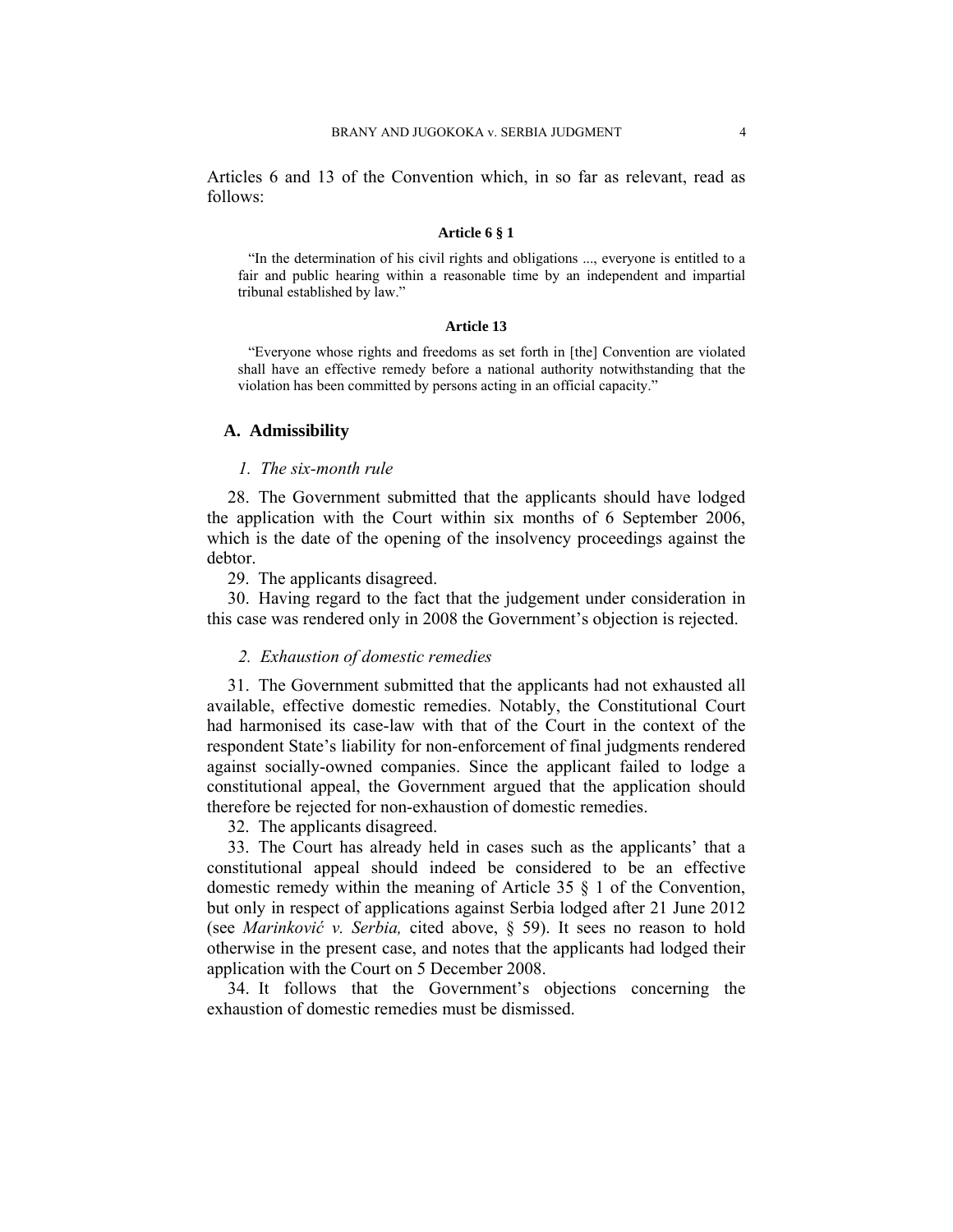Articles 6 and 13 of the Convention which, in so far as relevant, read as follows:

#### **Article 6 § 1**

"In the determination of his civil rights and obligations ..., everyone is entitled to a fair and public hearing within a reasonable time by an independent and impartial tribunal established by law."

#### **Article 13**

"Everyone whose rights and freedoms as set forth in [the] Convention are violated shall have an effective remedy before a national authority notwithstanding that the violation has been committed by persons acting in an official capacity."

## **A. Admissibility**

## *1. The six-month rule*

28. The Government submitted that the applicants should have lodged the application with the Court within six months of 6 September 2006, which is the date of the opening of the insolvency proceedings against the debtor.

29. The applicants disagreed.

30. Having regard to the fact that the judgement under consideration in this case was rendered only in 2008 the Government's objection is rejected.

## *2. Exhaustion of domestic remedies*

31. The Government submitted that the applicants had not exhausted all available, effective domestic remedies. Notably, the Constitutional Court had harmonised its case-law with that of the Court in the context of the respondent State's liability for non-enforcement of final judgments rendered against socially-owned companies. Since the applicant failed to lodge a constitutional appeal, the Government argued that the application should therefore be rejected for non-exhaustion of domestic remedies.

32. The applicants disagreed.

33. The Court has already held in cases such as the applicants' that a constitutional appeal should indeed be considered to be an effective domestic remedy within the meaning of Article 35 § 1 of the Convention, but only in respect of applications against Serbia lodged after 21 June 2012 (see *Marinković v. Serbia,* cited above, § 59). It sees no reason to hold otherwise in the present case, and notes that the applicants had lodged their application with the Court on 5 December 2008.

34. It follows that the Government's objections concerning the exhaustion of domestic remedies must be dismissed.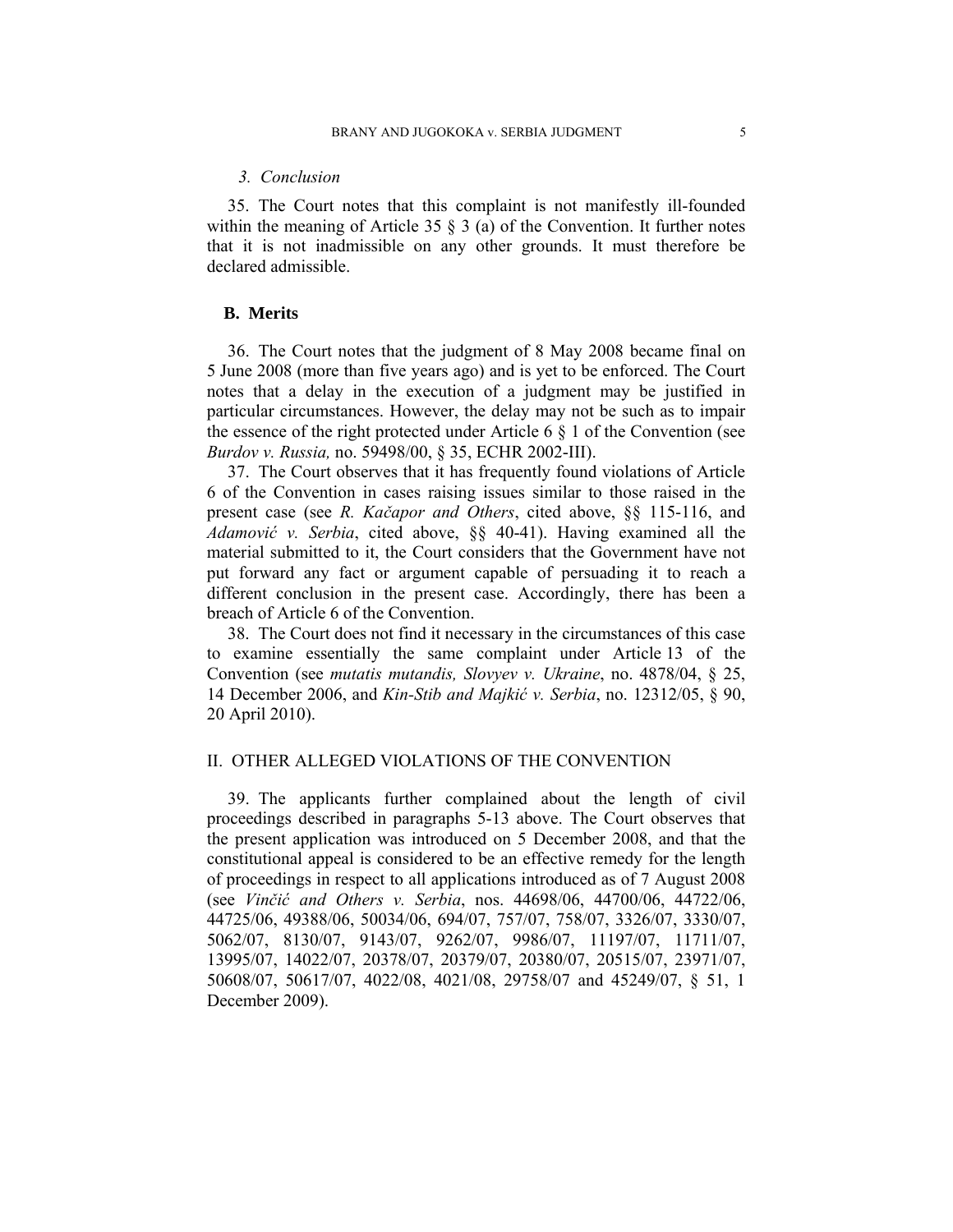### *3. Conclusion*

35. The Court notes that this complaint is not manifestly ill-founded within the meaning of Article 35  $\S$  3 (a) of the Convention. It further notes that it is not inadmissible on any other grounds. It must therefore be declared admissible.

## **B. Merits**

36. The Court notes that the judgment of 8 May 2008 became final on 5 June 2008 (more than five years ago) and is yet to be enforced. The Court notes that a delay in the execution of a judgment may be justified in particular circumstances. However, the delay may not be such as to impair the essence of the right protected under Article 6  $\S$  1 of the Convention (see *Burdov v. Russia,* no. 59498/00, § 35, ECHR 2002-III).

37. The Court observes that it has frequently found violations of Article 6 of the Convention in cases raising issues similar to those raised in the present case (see *R. Kačapor and Others*, cited above, §§ 115-116, and *Adamović v. Serbia*, cited above, §§ 40-41). Having examined all the material submitted to it, the Court considers that the Government have not put forward any fact or argument capable of persuading it to reach a different conclusion in the present case. Accordingly, there has been a breach of Article 6 of the Convention.

38. The Court does not find it necessary in the circumstances of this case to examine essentially the same complaint under Article 13 of the Convention (see *mutatis mutandis, Slovyev v. Ukraine*, no. 4878/04, § 25, 14 December 2006, and *Kin-Stib and Majkić v. Serbia*, no. 12312/05, § 90, 20 April 2010).

## II. OTHER ALLEGED VIOLATIONS OF THE CONVENTION

39. The applicants further complained about the length of civil proceedings described in paragraphs 5-13 above. The Court observes that the present application was introduced on 5 December 2008, and that the constitutional appeal is considered to be an effective remedy for the length of proceedings in respect to all applications introduced as of 7 August 2008 (see *Vinčić and Others v. Serbia*, nos. 44698/06, 44700/06, 44722/06, 44725/06, 49388/06, 50034/06, 694/07, 757/07, 758/07, 3326/07, 3330/07, 5062/07, 8130/07, 9143/07, 9262/07, 9986/07, 11197/07, 11711/07, 13995/07, 14022/07, 20378/07, 20379/07, 20380/07, 20515/07, 23971/07, 50608/07, 50617/07, 4022/08, 4021/08, 29758/07 and 45249/07, § 51, 1 December 2009).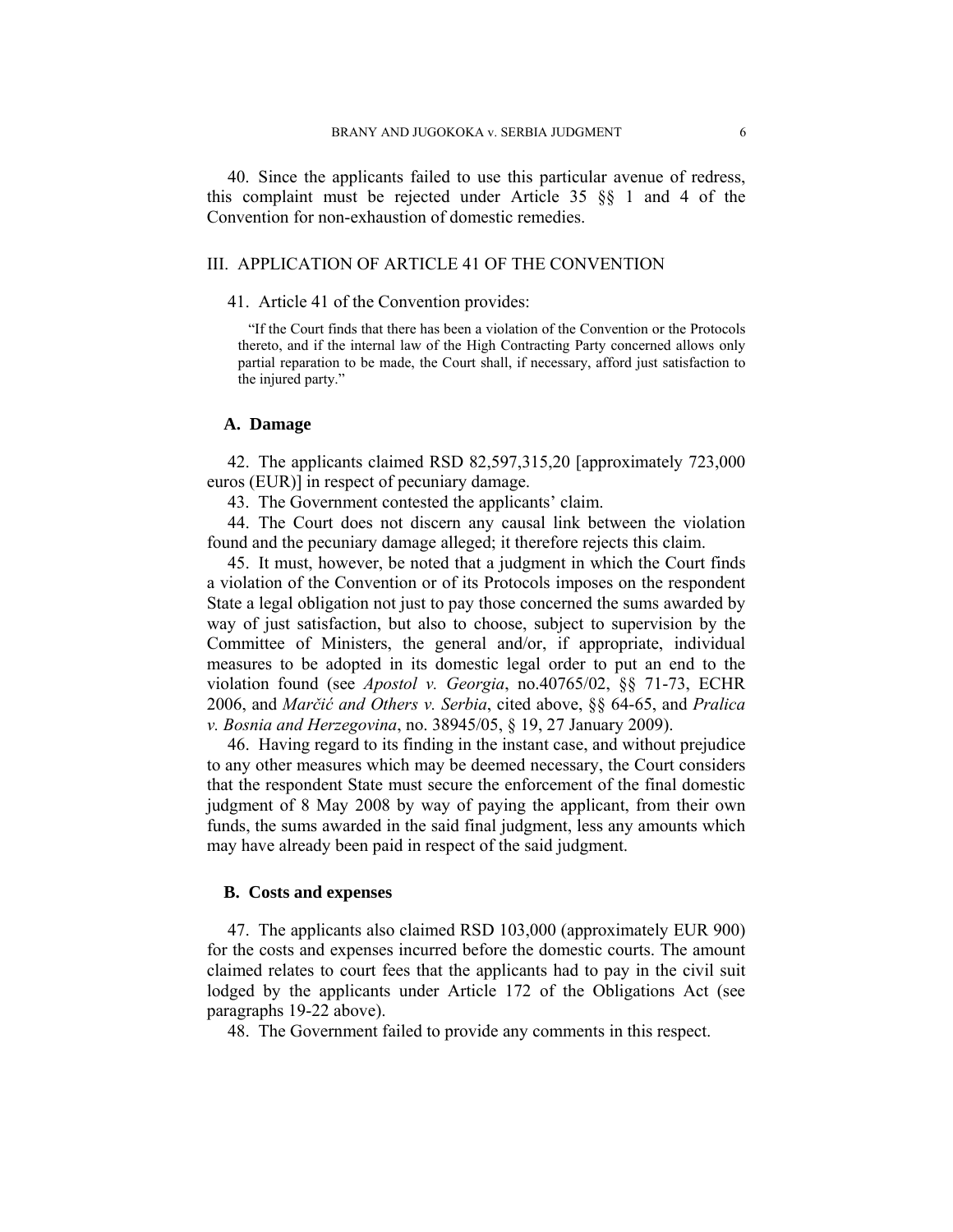40. Since the applicants failed to use this particular avenue of redress, this complaint must be rejected under Article 35 §§ 1 and 4 of the Convention for non-exhaustion of domestic remedies.

## III. APPLICATION OF ARTICLE 41 OF THE CONVENTION

#### 41. Article 41 of the Convention provides:

"If the Court finds that there has been a violation of the Convention or the Protocols thereto, and if the internal law of the High Contracting Party concerned allows only partial reparation to be made, the Court shall, if necessary, afford just satisfaction to the injured party."

## **A. Damage**

42. The applicants claimed RSD 82,597,315,20 [approximately 723,000 euros (EUR)] in respect of pecuniary damage.

43. The Government contested the applicants' claim.

44. The Court does not discern any causal link between the violation found and the pecuniary damage alleged; it therefore rejects this claim.

45. It must, however, be noted that a judgment in which the Court finds a violation of the Convention or of its Protocols imposes on the respondent State a legal obligation not just to pay those concerned the sums awarded by way of just satisfaction, but also to choose, subject to supervision by the Committee of Ministers, the general and/or, if appropriate, individual measures to be adopted in its domestic legal order to put an end to the violation found (see *Apostol v. Georgia*, no.40765/02, §§ 71-73, ECHR 2006, and *Marčić and Others v. Serbia*, cited above, §§ 64-65, and *Pralica v. Bosnia and Herzegovina*, no. 38945/05, § 19, 27 January 2009).

46. Having regard to its finding in the instant case, and without prejudice to any other measures which may be deemed necessary, the Court considers that the respondent State must secure the enforcement of the final domestic judgment of 8 May 2008 by way of paying the applicant, from their own funds, the sums awarded in the said final judgment, less any amounts which may have already been paid in respect of the said judgment.

## **B. Costs and expenses**

47. The applicants also claimed RSD 103,000 (approximately EUR 900) for the costs and expenses incurred before the domestic courts. The amount claimed relates to court fees that the applicants had to pay in the civil suit lodged by the applicants under Article 172 of the Obligations Act (see paragraphs 19-22 above).

48. The Government failed to provide any comments in this respect.